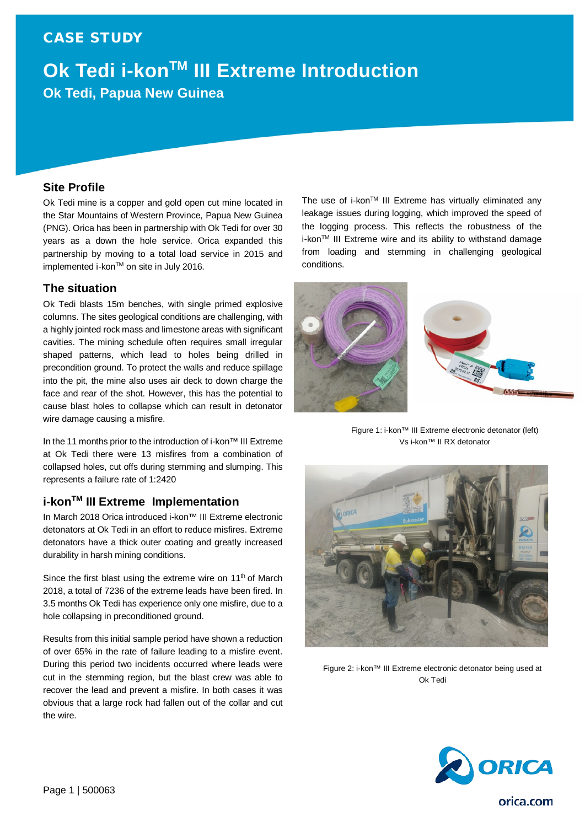### CASE STUDY

# **Ok Tedi i-konTM III Extreme Introduction Ok Tedi, Papua New Guinea**

### **Site Profile**

Ok Tedi mine is a copper and gold open cut mine located in the Star Mountains of Western Province, Papua New Guinea (PNG). Orica has been in partnership with Ok Tedi for over 30 years as a down the hole service. Orica expanded this partnership by moving to a total load service in 2015 and implemented i-kon™ on site in July 2016.

### **The situation**

Ok Tedi blasts 15m benches, with single primed explosive columns. The sites geological conditions are challenging, with a highly jointed rock mass and limestone areas with significant cavities. The mining schedule often requires small irregular shaped patterns, which lead to holes being drilled in precondition ground. To protect the walls and reduce spillage into the pit, the mine also uses air deck to down charge the face and rear of the shot. However, this has the potential to cause blast holes to collapse which can result in detonator wire damage causing a misfire.

In the 11 months prior to the introduction of i-kon™ III Extreme at Ok Tedi there were 13 misfires from a combination of collapsed holes, cut offs during stemming and slumping. This represents a failure rate of 1:2420

### **i-konTM III Extreme Implementation**

In March 2018 Orica introduced i-kon™ III Extreme electronic detonators at Ok Tedi in an effort to reduce misfires. Extreme detonators have a thick outer coating and greatly increased durability in harsh mining conditions.

Since the first blast using the extreme wire on  $11<sup>th</sup>$  of March 2018, a total of 7236 of the extreme leads have been fired. In 3.5 months Ok Tedi has experience only one misfire, due to a hole collapsing in preconditioned ground.

Results from this initial sample period have shown a reduction of over 65% in the rate of failure leading to a misfire event. During this period two incidents occurred where leads were cut in the stemming region, but the blast crew was able to recover the lead and prevent a misfire. In both cases it was obvious that a large rock had fallen out of the collar and cut the wire.

The use of i-kon™ III Extreme has virtually eliminated any leakage issues during logging, which improved the speed of the logging process. This reflects the robustness of the i-kon™ III Extreme wire and its ability to withstand damage from loading and stemming in challenging geological conditions.



Figure 1: i-kon™ III Extreme electronic detonator (left) Vs i-kon™ II RX detonator



Figure 2: i-kon™ III Extreme electronic detonator being used at Ok Tedi



orica.com